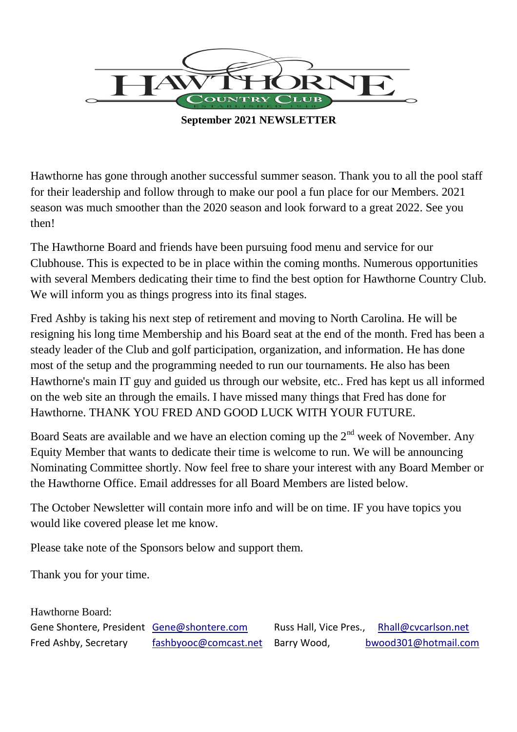

**September 2021 NEWSLETTER**

Hawthorne has gone through another successful summer season. Thank you to all the pool staff for their leadership and follow through to make our pool a fun place for our Members. 2021 season was much smoother than the 2020 season and look forward to a great 2022. See you then!

The Hawthorne Board and friends have been pursuing food menu and service for our Clubhouse. This is expected to be in place within the coming months. Numerous opportunities with several Members dedicating their time to find the best option for Hawthorne Country Club. We will inform you as things progress into its final stages.

Fred Ashby is taking his next step of retirement and moving to North Carolina. He will be resigning his long time Membership and his Board seat at the end of the month. Fred has been a steady leader of the Club and golf participation, organization, and information. He has done most of the setup and the programming needed to run our tournaments. He also has been Hawthorne's main IT guy and guided us through our website, etc.. Fred has kept us all informed on the web site an through the emails. I have missed many things that Fred has done for Hawthorne. THANK YOU FRED AND GOOD LUCK WITH YOUR FUTURE.

Board Seats are available and we have an election coming up the  $2<sup>nd</sup>$  week of November. Any Equity Member that wants to dedicate their time is welcome to run. We will be announcing Nominating Committee shortly. Now feel free to share your interest with any Board Member or the Hawthorne Office. Email addresses for all Board Members are listed below.

The October Newsletter will contain more info and will be on time. IF you have topics you would like covered please let me know.

Please take note of the Sponsors below and support them.

Thank you for your time.

| Hawthorne Board:                           |                       |                        |                      |
|--------------------------------------------|-----------------------|------------------------|----------------------|
| Gene Shontere, President Gene@shontere.com |                       | Russ Hall, Vice Pres., | Rhall@cvcarlson.net  |
| Fred Ashby, Secretary                      | fashbyooc@comcast.net | Barry Wood,            | bwood301@hotmail.com |